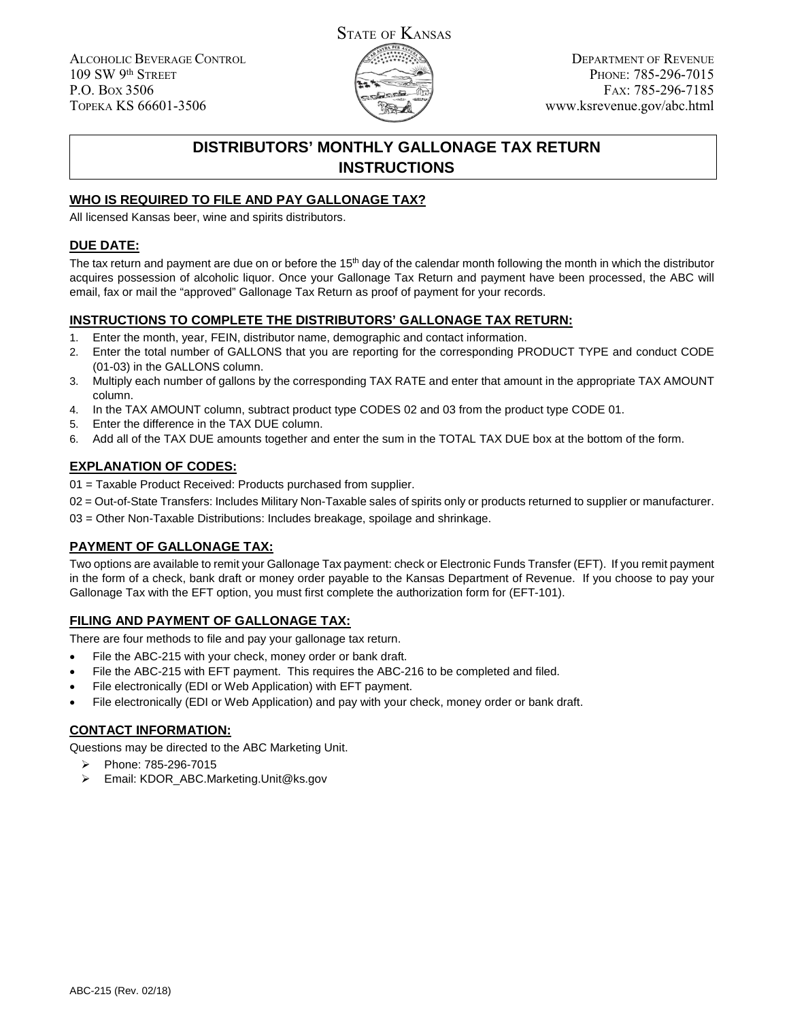ALCOHOLIC BEVERAGE CONTROL 109 SW 9th STREET P.O. BOX 3506 TOPEKA KS 66601-3506



DEPARTMENT OF REVENUE PHONE: 785-296-7015 FAX: 785-296-7185 www.ksrevenue.gov/abc.html

# **DISTRIBUTORS' MONTHLY GALLONAGE TAX RETURN INSTRUCTIONS**

## **WHO IS REQUIRED TO FILE AND PAY GALLONAGE TAX?**

All licensed Kansas beer, wine and spirits distributors.

#### **DUE DATE:**

The tax return and payment are due on or before the  $15<sup>th</sup>$  day of the calendar month following the month in which the distributor acquires possession of alcoholic liquor. Once your Gallonage Tax Return and payment have been processed, the ABC will email, fax or mail the "approved" Gallonage Tax Return as proof of payment for your records.

#### **INSTRUCTIONS TO COMPLETE THE DISTRIBUTORS' GALLONAGE TAX RETURN:**

- 1. Enter the month, year, FEIN, distributor name, demographic and contact information.
- 2. Enter the total number of GALLONS that you are reporting for the corresponding PRODUCT TYPE and conduct CODE (01-03) in the GALLONS column.
- 3. Multiply each number of gallons by the corresponding TAX RATE and enter that amount in the appropriate TAX AMOUNT column.
- 4. In the TAX AMOUNT column, subtract product type CODES 02 and 03 from the product type CODE 01.
- 5. Enter the difference in the TAX DUE column.
- 6. Add all of the TAX DUE amounts together and enter the sum in the TOTAL TAX DUE box at the bottom of the form.

### **EXPLANATION OF CODES:**

- 01 = Taxable Product Received: Products purchased from supplier.
- 02 = Out-of-State Transfers: Includes Military Non-Taxable sales of spirits only or products returned to supplier or manufacturer.

03 = Other Non-Taxable Distributions: Includes breakage, spoilage and shrinkage.

### **PAYMENT OF GALLONAGE TAX:**

Two options are available to remit your Gallonage Tax payment: check or Electronic Funds Transfer (EFT). If you remit payment in the form of a check, bank draft or money order payable to the Kansas Department of Revenue. If you choose to pay your Gallonage Tax with the EFT option, you must first complete the authorization form for (EFT-101).

### **FILING AND PAYMENT OF GALLONAGE TAX:**

There are four methods to file and pay your gallonage tax return.

- File the ABC-215 with your check, money order or bank draft.
- File the ABC-215 with EFT payment. This requires the ABC-216 to be completed and filed.
- File electronically (EDI or Web Application) with EFT payment.
- File electronically (EDI or Web Application) and pay with your check, money order or bank draft.

### **CONTACT INFORMATION:**

Questions may be directed to the ABC Marketing Unit.

- $\blacktriangleright$ Phone: 785-296-7015
- Email: KDOR\_ABC.Marketing.Unit@ks.gov